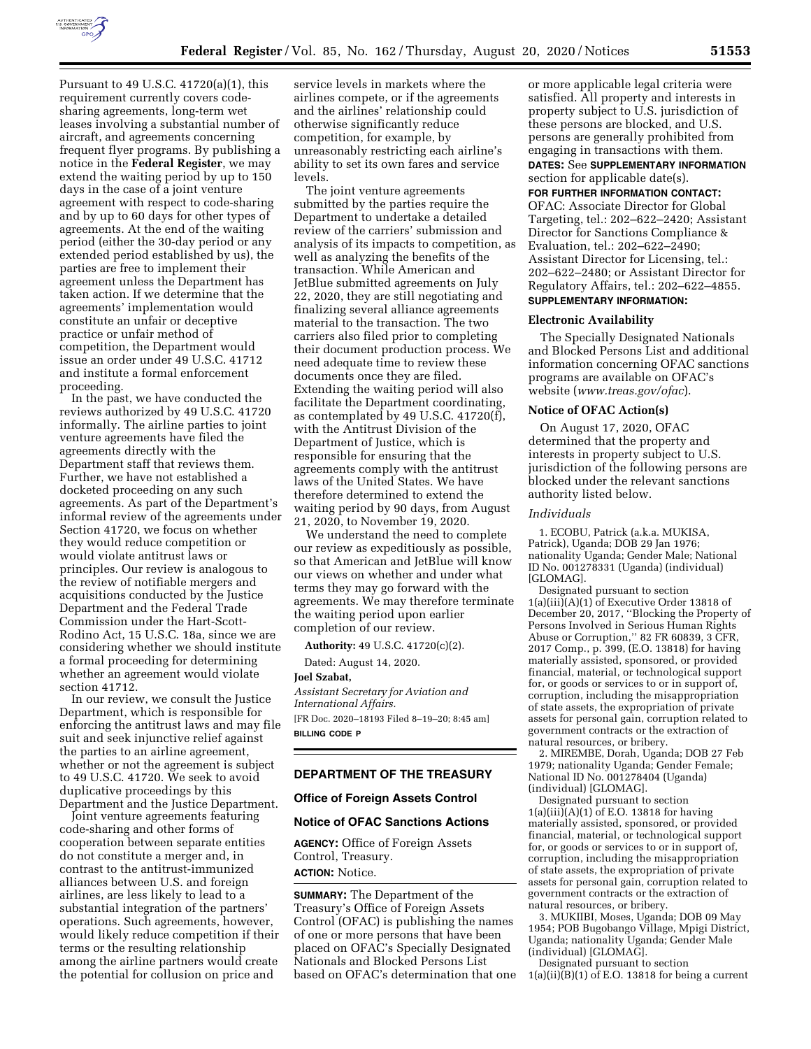

Pursuant to 49 U.S.C. 41720(a)(1), this requirement currently covers codesharing agreements, long-term wet leases involving a substantial number of aircraft, and agreements concerning frequent flyer programs. By publishing a notice in the **Federal Register**, we may extend the waiting period by up to 150 days in the case of a joint venture agreement with respect to code-sharing and by up to 60 days for other types of agreements. At the end of the waiting period (either the 30-day period or any extended period established by us), the parties are free to implement their agreement unless the Department has taken action. If we determine that the agreements' implementation would constitute an unfair or deceptive practice or unfair method of competition, the Department would issue an order under 49 U.S.C. 41712 and institute a formal enforcement proceeding.

In the past, we have conducted the reviews authorized by 49 U.S.C. 41720 informally. The airline parties to joint venture agreements have filed the agreements directly with the Department staff that reviews them. Further, we have not established a docketed proceeding on any such agreements. As part of the Department's informal review of the agreements under Section 41720, we focus on whether they would reduce competition or would violate antitrust laws or principles. Our review is analogous to the review of notifiable mergers and acquisitions conducted by the Justice Department and the Federal Trade Commission under the Hart-Scott-Rodino Act, 15 U.S.C. 18a, since we are considering whether we should institute a formal proceeding for determining whether an agreement would violate section 41712.

In our review, we consult the Justice Department, which is responsible for enforcing the antitrust laws and may file suit and seek injunctive relief against the parties to an airline agreement, whether or not the agreement is subject to 49 U.S.C. 41720. We seek to avoid duplicative proceedings by this Department and the Justice Department.

Joint venture agreements featuring code-sharing and other forms of cooperation between separate entities do not constitute a merger and, in contrast to the antitrust-immunized alliances between U.S. and foreign airlines, are less likely to lead to a substantial integration of the partners' operations. Such agreements, however, would likely reduce competition if their terms or the resulting relationship among the airline partners would create the potential for collusion on price and

service levels in markets where the airlines compete, or if the agreements and the airlines' relationship could otherwise significantly reduce competition, for example, by unreasonably restricting each airline's ability to set its own fares and service levels.

The joint venture agreements submitted by the parties require the Department to undertake a detailed review of the carriers' submission and analysis of its impacts to competition, as well as analyzing the benefits of the transaction. While American and JetBlue submitted agreements on July 22, 2020, they are still negotiating and finalizing several alliance agreements material to the transaction. The two carriers also filed prior to completing their document production process. We need adequate time to review these documents once they are filed. Extending the waiting period will also facilitate the Department coordinating, as contemplated by 49 U.S.C. 41720(f), with the Antitrust Division of the Department of Justice, which is responsible for ensuring that the agreements comply with the antitrust laws of the United States. We have therefore determined to extend the waiting period by 90 days, from August 21, 2020, to November 19, 2020.

We understand the need to complete our review as expeditiously as possible, so that American and JetBlue will know our views on whether and under what terms they may go forward with the agreements. We may therefore terminate the waiting period upon earlier completion of our review.

**Authority:** 49 U.S.C. 41720(c)(2).

Dated: August 14, 2020.

**Joel Szabat,** 

*Assistant Secretary for Aviation and International Affairs.*  [FR Doc. 2020–18193 Filed 8–19–20; 8:45 am] **BILLING CODE P** 

#### **DEPARTMENT OF THE TREASURY**

### **Office of Foreign Assets Control**

### **Notice of OFAC Sanctions Actions**

**AGENCY:** Office of Foreign Assets Control, Treasury. **ACTION:** Notice.

**SUMMARY:** The Department of the Treasury's Office of Foreign Assets Control (OFAC) is publishing the names of one or more persons that have been placed on OFAC's Specially Designated Nationals and Blocked Persons List based on OFAC's determination that one

or more applicable legal criteria were satisfied. All property and interests in property subject to U.S. jurisdiction of these persons are blocked, and U.S. persons are generally prohibited from engaging in transactions with them. **DATES:** See **SUPPLEMENTARY INFORMATION**

section for applicable date(s).

### **FOR FURTHER INFORMATION CONTACT:**

OFAC: Associate Director for Global Targeting, tel.: 202–622–2420; Assistant Director for Sanctions Compliance & Evaluation, tel.: 202–622–2490; Assistant Director for Licensing, tel.: 202–622–2480; or Assistant Director for Regulatory Affairs, tel.: 202–622–4855.

# **SUPPLEMENTARY INFORMATION:**

### **Electronic Availability**

The Specially Designated Nationals and Blocked Persons List and additional information concerning OFAC sanctions programs are available on OFAC's website (*[www.treas.gov/ofac](http://www.treas.gov/ofac)*).

### **Notice of OFAC Action(s)**

On August 17, 2020, OFAC determined that the property and interests in property subject to U.S. jurisdiction of the following persons are blocked under the relevant sanctions authority listed below.

# *Individuals*

1. ECOBU, Patrick (a.k.a. MUKISA, Patrick), Uganda; DOB 29 Jan 1976; nationality Uganda; Gender Male; National ID No. 001278331 (Uganda) (individual) [GLOMAG].

Designated pursuant to section 1(a)(iii)(A)(1) of Executive Order 13818 of December 20, 2017, ''Blocking the Property of Persons Involved in Serious Human Rights Abuse or Corruption," 82 FR 60839, 3 CFR, 2017 Comp., p. 399, (E.O. 13818) for having materially assisted, sponsored, or provided financial, material, or technological support for, or goods or services to or in support of, corruption, including the misappropriation of state assets, the expropriation of private assets for personal gain, corruption related to government contracts or the extraction of natural resources, or bribery.

2. MIREMBE, Dorah, Uganda; DOB 27 Feb 1979; nationality Uganda; Gender Female; National ID No. 001278404 (Uganda) (individual) [GLOMAG].

Designated pursuant to section  $1(a)(iii)(A)(1)$  of E.O. 13818 for having materially assisted, sponsored, or provided financial, material, or technological support for, or goods or services to or in support of, corruption, including the misappropriation of state assets, the expropriation of private assets for personal gain, corruption related to government contracts or the extraction of natural resources, or bribery.

3. MUKIIBI, Moses, Uganda; DOB 09 May 1954; POB Bugobango Village, Mpigi District, Uganda; nationality Uganda; Gender Male (individual) [GLOMAG].

Designated pursuant to section  $1(a)(ii)(B)(1)$  of E.O. 13818 for being a current